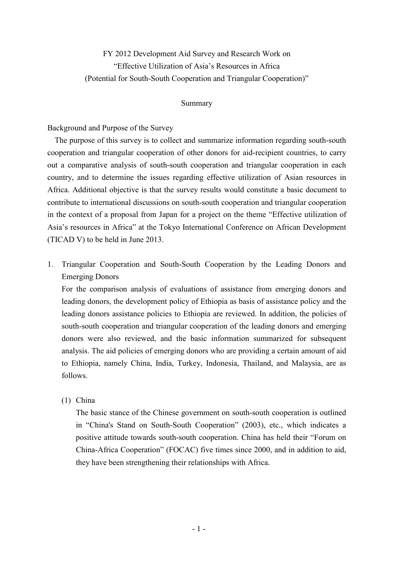FY 2012 Development Aid Survey and Research Work on "Effective Utilization of Asia's Resources in Africa (Potential for South-South Cooperation and Triangular Cooperation)"

#### Summary

### Background and Purpose of the Survey

The purpose of this survey is to collect and summarize information regarding south-south cooperation and triangular cooperation of other donors for aid-recipient countries, to carry out a comparative analysis of south-south cooperation and triangular cooperation in each country, and to determine the issues regarding effective utilization of Asian resources in Africa. Additional objective is that the survey results would constitute a basic document to contribute to international discussions on south-south cooperation and triangular cooperation in the context of a proposal from Japan for a project on the theme "Effective utilization of Asia's resources in Africa" at the Tokyo International Conference on African Development (TICAD V) to be held in June 2013.

1. Triangular Cooperation and South-South Cooperation by the Leading Donors and Emerging Donors

 For the comparison analysis of evaluations of assistance from emerging donors and leading donors, the development policy of Ethiopia as basis of assistance policy and the leading donors assistance policies to Ethiopia are reviewed. In addition, the policies of south-south cooperation and triangular cooperation of the leading donors and emerging donors were also reviewed, and the basic information summarized for subsequent analysis. The aid policies of emerging donors who are providing a certain amount of aid to Ethiopia, namely China, India, Turkey, Indonesia, Thailand, and Malaysia, are as follows.

#### (1) China

 The basic stance of the Chinese government on south-south cooperation is outlined in "China's Stand on South-South Cooperation" (2003), etc., which indicates a positive attitude towards south-south cooperation. China has held their "Forum on China-Africa Cooperation" (FOCAC) five times since 2000, and in addition to aid, they have been strengthening their relationships with Africa.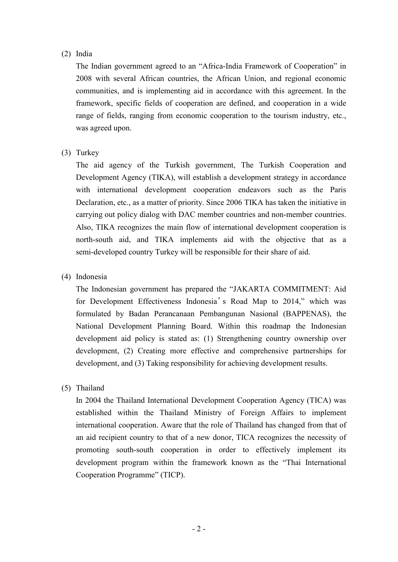# (2) India

 The Indian government agreed to an "Africa-India Framework of Cooperation" in 2008 with several African countries, the African Union, and regional economic communities, and is implementing aid in accordance with this agreement. In the framework, specific fields of cooperation are defined, and cooperation in a wide range of fields, ranging from economic cooperation to the tourism industry, etc., was agreed upon.

# (3) Turkey

 The aid agency of the Turkish government, The Turkish Cooperation and Development Agency (TIKA), will establish a development strategy in accordance with international development cooperation endeavors such as the Paris Declaration, etc., as a matter of priority. Since 2006 TIKA has taken the initiative in carrying out policy dialog with DAC member countries and non-member countries. Also, TIKA recognizes the main flow of international development cooperation is north-south aid, and TIKA implements aid with the objective that as a semi-developed country Turkey will be responsible for their share of aid.

# (4) Indonesia

 The Indonesian government has prepared the "JAKARTA COMMITMENT: Aid for Development Effectiveness Indonesia's Road Map to 2014," which was formulated by Badan Perancanaan Pembangunan Nasional (BAPPENAS), the National Development Planning Board. Within this roadmap the Indonesian development aid policy is stated as: (1) Strengthening country ownership over development, (2) Creating more effective and comprehensive partnerships for development, and (3) Taking responsibility for achieving development results.

### (5) Thailand

 In 2004 the Thailand International Development Cooperation Agency (TICA) was established within the Thailand Ministry of Foreign Affairs to implement international cooperation. Aware that the role of Thailand has changed from that of an aid recipient country to that of a new donor, TICA recognizes the necessity of promoting south-south cooperation in order to effectively implement its development program within the framework known as the "Thai International Cooperation Programme" (TICP).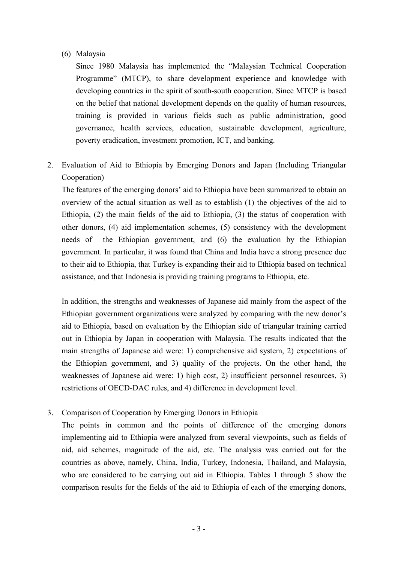### (6) Malaysia

 Since 1980 Malaysia has implemented the "Malaysian Technical Cooperation Programme" (MTCP), to share development experience and knowledge with developing countries in the spirit of south-south cooperation. Since MTCP is based on the belief that national development depends on the quality of human resources, training is provided in various fields such as public administration, good governance, health services, education, sustainable development, agriculture, poverty eradication, investment promotion, ICT, and banking.

2. Evaluation of Aid to Ethiopia by Emerging Donors and Japan (Including Triangular Cooperation)

 The features of the emerging donors' aid to Ethiopia have been summarized to obtain an overview of the actual situation as well as to establish (1) the objectives of the aid to Ethiopia, (2) the main fields of the aid to Ethiopia, (3) the status of cooperation with other donors, (4) aid implementation schemes, (5) consistency with the development needs of the Ethiopian government, and (6) the evaluation by the Ethiopian government. In particular, it was found that China and India have a strong presence due to their aid to Ethiopia, that Turkey is expanding their aid to Ethiopia based on technical assistance, and that Indonesia is providing training programs to Ethiopia, etc.

 In addition, the strengths and weaknesses of Japanese aid mainly from the aspect of the Ethiopian government organizations were analyzed by comparing with the new donor's aid to Ethiopia, based on evaluation by the Ethiopian side of triangular training carried out in Ethiopia by Japan in cooperation with Malaysia. The results indicated that the main strengths of Japanese aid were: 1) comprehensive aid system, 2) expectations of the Ethiopian government, and 3) quality of the projects. On the other hand, the weaknesses of Japanese aid were: 1) high cost, 2) insufficient personnel resources, 3) restrictions of OECD-DAC rules, and 4) difference in development level.

3. Comparison of Cooperation by Emerging Donors in Ethiopia

 The points in common and the points of difference of the emerging donors implementing aid to Ethiopia were analyzed from several viewpoints, such as fields of aid, aid schemes, magnitude of the aid, etc. The analysis was carried out for the countries as above, namely, China, India, Turkey, Indonesia, Thailand, and Malaysia, who are considered to be carrying out aid in Ethiopia. Tables 1 through 5 show the comparison results for the fields of the aid to Ethiopia of each of the emerging donors,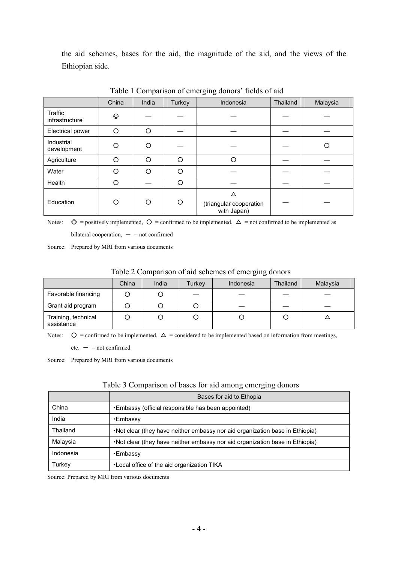the aid schemes, bases for the aid, the magnitude of the aid, and the views of the Ethiopian side.

|                           | China          | India    | Turkey   | Indonesia                                   | Thailand | Malaysia |
|---------------------------|----------------|----------|----------|---------------------------------------------|----------|----------|
| Traffic<br>infrastructure | $\circledcirc$ |          |          |                                             |          |          |
| Electrical power          | ∩              | O        |          |                                             |          |          |
| Industrial<br>development | ∩              | O        |          |                                             |          | O        |
| Agriculture               | ∩              | $\Omega$ | $\Omega$ | Ω                                           |          |          |
| Water                     | ∩              | O        | Ω        |                                             |          |          |
| Health                    | ∩              |          | Ω        |                                             |          |          |
| Education                 | ∩              | O        | Ω        | Δ<br>(triangular cooperation<br>with Japan) |          |          |

Table 1 Comparison of emerging donors' fields of aid

Notes:  $\circledcirc$  = positively implemented,  $\circledcirc$  = confirmed to be implemented,  $\triangle$  = not confirmed to be implemented as bilateral cooperation,  $-$  = not confirmed

Source: Prepared by MRI from various documents

| Table 2 Comparison of aid schemes of emerging donors |  |  |
|------------------------------------------------------|--|--|
|                                                      |  |  |

|                                   | China | India | Turkey | Indonesia | Thailand | Malaysia |
|-----------------------------------|-------|-------|--------|-----------|----------|----------|
| Favorable financing               |       |       |        |           |          |          |
| Grant aid program                 |       |       |        |           |          |          |
| Training, technical<br>assistance |       |       |        |           |          |          |

Notes:  $\mathsf{O}$  = confirmed to be implemented,  $\Delta$  = considered to be implemented based on information from meetings,

 $etc. - = not confirmed$ 

Source: Prepared by MRI from various documents

|           | Bases for aid to Ethopia                                                      |
|-----------|-------------------------------------------------------------------------------|
| China     | . Embassy (official responsible has been appointed)                           |
| India     | •Embassy                                                                      |
| Thailand  | . Not clear (they have neither embassy nor aid organization base in Ethiopia) |
| Malaysia  | . Not clear (they have neither embassy nor aid organization base in Ethiopia) |
| Indonesia | •Embassy                                                                      |
| Turkey    | . Local office of the aid organization TIKA                                   |

Source: Prepared by MRI from various documents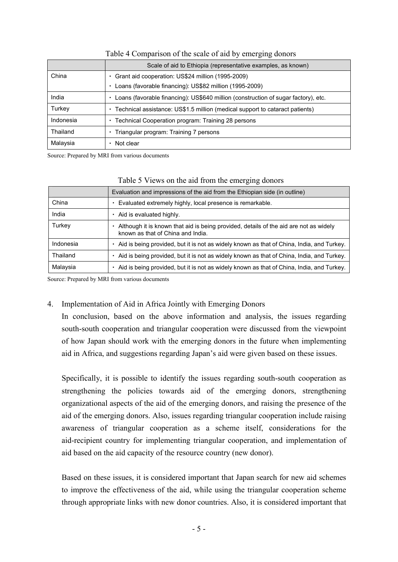|           | Scale of aid to Ethiopia (representative examples, as known)                            |
|-----------|-----------------------------------------------------------------------------------------|
| China     | Grant aid cooperation: US\$24 million (1995-2009)                                       |
|           |                                                                                         |
|           | Loans (favorable financing): US\$82 million (1995-2009)<br>٠                            |
| India     | Loans (favorable financing): US\$640 million (construction of sugar factory), etc.<br>٠ |
| Turkey    | Technical assistance: US\$1.5 million (medical support to cataract patients)<br>٠       |
| Indonesia | Technical Cooperation program: Training 28 persons<br>٠                                 |
| Thailand  | Triangular program: Training 7 persons<br>٠                                             |
| Malaysia  | Not clear                                                                               |

#### Table 4 Comparison of the scale of aid by emerging donors

Source: Prepared by MRI from various documents

|           | Table 5 Years on the aid from the emerging donors                                                                          |
|-----------|----------------------------------------------------------------------------------------------------------------------------|
|           | Evaluation and impressions of the aid from the Ethiopian side (in outline)                                                 |
| China     | Evaluated extremely highly, local presence is remarkable.                                                                  |
| India     | • Aid is evaluated highly.                                                                                                 |
| Turkey    | Although it is known that aid is being provided, details of the aid are not as widely<br>known as that of China and India. |
| Indonesia | Aid is being provided, but it is not as widely known as that of China, India, and Turkey.                                  |
| Thailand  | Aid is being provided, but it is not as widely known as that of China, India, and Turkey.                                  |
| Malaysia  | Aid is being provided, but it is not as widely known as that of China, India, and Turkey.                                  |

# Table 5 Views on the aid from the emerging donors

Source: Prepared by MRI from various documents

### 4. Implementation of Aid in Africa Jointly with Emerging Donors

 In conclusion, based on the above information and analysis, the issues regarding south-south cooperation and triangular cooperation were discussed from the viewpoint of how Japan should work with the emerging donors in the future when implementing aid in Africa, and suggestions regarding Japan's aid were given based on these issues.

 Specifically, it is possible to identify the issues regarding south-south cooperation as strengthening the policies towards aid of the emerging donors, strengthening organizational aspects of the aid of the emerging donors, and raising the presence of the aid of the emerging donors. Also, issues regarding triangular cooperation include raising awareness of triangular cooperation as a scheme itself, considerations for the aid-recipient country for implementing triangular cooperation, and implementation of aid based on the aid capacity of the resource country (new donor).

 Based on these issues, it is considered important that Japan search for new aid schemes to improve the effectiveness of the aid, while using the triangular cooperation scheme through appropriate links with new donor countries. Also, it is considered important that